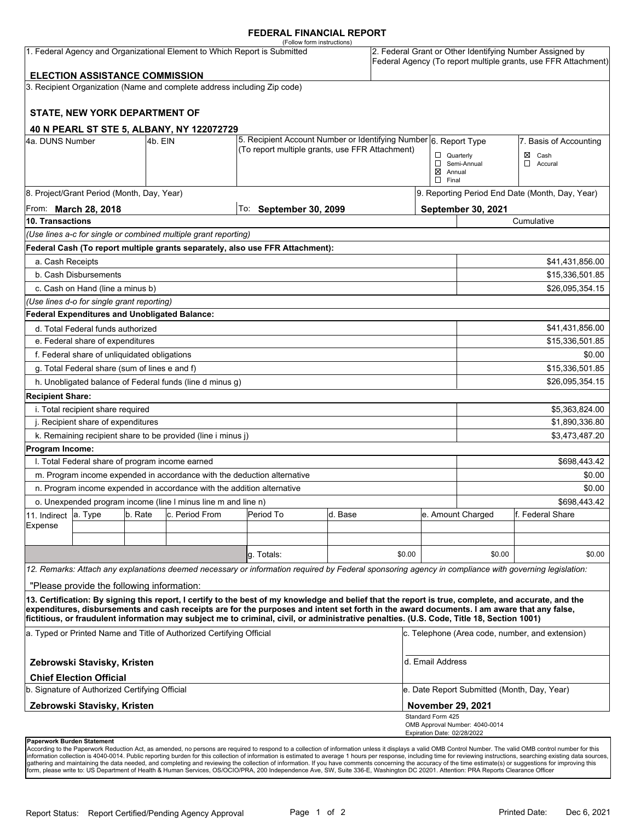### **FEDERAL FINANCIAL REPORT**

|                                                                           |                                                 |         |                                                                          | (Follow form instructions)                                                                                                                                                                                                                                                              |         |        |                                               |                                                                                                                            |                                                 |  |  |
|---------------------------------------------------------------------------|-------------------------------------------------|---------|--------------------------------------------------------------------------|-----------------------------------------------------------------------------------------------------------------------------------------------------------------------------------------------------------------------------------------------------------------------------------------|---------|--------|-----------------------------------------------|----------------------------------------------------------------------------------------------------------------------------|-------------------------------------------------|--|--|
| 1. Federal Agency and Organizational Element to Which Report is Submitted |                                                 |         |                                                                          |                                                                                                                                                                                                                                                                                         |         |        |                                               | 2. Federal Grant or Other Identifying Number Assigned by<br>Federal Agency (To report multiple grants, use FFR Attachment) |                                                 |  |  |
|                                                                           | <b>ELECTION ASSISTANCE COMMISSION</b>           |         |                                                                          |                                                                                                                                                                                                                                                                                         |         |        |                                               |                                                                                                                            |                                                 |  |  |
|                                                                           |                                                 |         | 3. Recipient Organization (Name and complete address including Zip code) |                                                                                                                                                                                                                                                                                         |         |        |                                               |                                                                                                                            |                                                 |  |  |
|                                                                           | <b>STATE, NEW YORK DEPARTMENT OF</b>            |         |                                                                          |                                                                                                                                                                                                                                                                                         |         |        |                                               |                                                                                                                            |                                                 |  |  |
|                                                                           |                                                 |         | 40 N PEARL ST STE 5, ALBANY, NY 122072729                                |                                                                                                                                                                                                                                                                                         |         |        |                                               |                                                                                                                            |                                                 |  |  |
| 4a. DUNS Number                                                           |                                                 | 4b. EIN |                                                                          | 5. Recipient Account Number or Identifying Number 6. Report Type                                                                                                                                                                                                                        |         |        |                                               | 7. Basis of Accounting                                                                                                     |                                                 |  |  |
|                                                                           |                                                 |         |                                                                          | (To report multiple grants, use FFR Attachment)                                                                                                                                                                                                                                         |         |        | $\Box$ Quarterly                              |                                                                                                                            | Cash<br>⊠                                       |  |  |
|                                                                           |                                                 |         |                                                                          |                                                                                                                                                                                                                                                                                         |         |        |                                               | Semi-Annual                                                                                                                | $\Box$<br>Accural                               |  |  |
|                                                                           |                                                 |         |                                                                          |                                                                                                                                                                                                                                                                                         |         |        | $\boxtimes$ Annual<br>$\Box$ Final            |                                                                                                                            |                                                 |  |  |
|                                                                           | 8. Project/Grant Period (Month, Day, Year)      |         |                                                                          |                                                                                                                                                                                                                                                                                         |         |        |                                               |                                                                                                                            | 9. Reporting Period End Date (Month, Day, Year) |  |  |
|                                                                           |                                                 |         |                                                                          | To: September 30, 2099                                                                                                                                                                                                                                                                  |         |        |                                               | September 30, 2021                                                                                                         |                                                 |  |  |
| From: March 28, 2018<br>10. Transactions                                  |                                                 |         |                                                                          |                                                                                                                                                                                                                                                                                         |         |        | Cumulative                                    |                                                                                                                            |                                                 |  |  |
|                                                                           |                                                 |         | (Use lines a-c for single or combined multiple grant reporting)          |                                                                                                                                                                                                                                                                                         |         |        |                                               |                                                                                                                            |                                                 |  |  |
|                                                                           |                                                 |         |                                                                          | Federal Cash (To report multiple grants separately, also use FFR Attachment):                                                                                                                                                                                                           |         |        |                                               |                                                                                                                            |                                                 |  |  |
| a. Cash Receipts                                                          |                                                 |         |                                                                          |                                                                                                                                                                                                                                                                                         |         |        |                                               |                                                                                                                            |                                                 |  |  |
|                                                                           | b. Cash Disbursements                           |         |                                                                          |                                                                                                                                                                                                                                                                                         |         |        |                                               | \$41,431,856.00                                                                                                            |                                                 |  |  |
|                                                                           |                                                 |         |                                                                          |                                                                                                                                                                                                                                                                                         |         |        |                                               |                                                                                                                            | \$15,336,501.85                                 |  |  |
|                                                                           | c. Cash on Hand (line a minus b)                |         |                                                                          |                                                                                                                                                                                                                                                                                         |         |        |                                               |                                                                                                                            | \$26,095,354.15                                 |  |  |
|                                                                           | (Use lines d-o for single grant reporting)      |         |                                                                          |                                                                                                                                                                                                                                                                                         |         |        |                                               |                                                                                                                            |                                                 |  |  |
|                                                                           |                                                 |         | Federal Expenditures and Unobligated Balance:                            |                                                                                                                                                                                                                                                                                         |         |        |                                               |                                                                                                                            |                                                 |  |  |
|                                                                           | d. Total Federal funds authorized               |         |                                                                          |                                                                                                                                                                                                                                                                                         |         |        |                                               | \$41,431,856.00                                                                                                            |                                                 |  |  |
| e. Federal share of expenditures                                          |                                                 |         |                                                                          |                                                                                                                                                                                                                                                                                         |         |        |                                               | \$15,336,501.85                                                                                                            |                                                 |  |  |
| f. Federal share of unliquidated obligations                              |                                                 |         |                                                                          |                                                                                                                                                                                                                                                                                         |         |        |                                               |                                                                                                                            | \$0.00                                          |  |  |
| g. Total Federal share (sum of lines e and f)                             |                                                 |         |                                                                          |                                                                                                                                                                                                                                                                                         |         |        |                                               |                                                                                                                            | \$15,336,501.85                                 |  |  |
|                                                                           |                                                 |         | h. Unobligated balance of Federal funds (line d minus g)                 |                                                                                                                                                                                                                                                                                         |         |        |                                               |                                                                                                                            | \$26,095,354.15                                 |  |  |
| <b>Recipient Share:</b>                                                   |                                                 |         |                                                                          |                                                                                                                                                                                                                                                                                         |         |        |                                               |                                                                                                                            |                                                 |  |  |
| i. Total recipient share required                                         |                                                 |         |                                                                          |                                                                                                                                                                                                                                                                                         |         |        |                                               |                                                                                                                            | \$5,363,824.00                                  |  |  |
| j. Recipient share of expenditures                                        |                                                 |         |                                                                          |                                                                                                                                                                                                                                                                                         |         |        |                                               | \$1,890,336.80                                                                                                             |                                                 |  |  |
|                                                                           |                                                 |         | k. Remaining recipient share to be provided (line i minus j)             |                                                                                                                                                                                                                                                                                         |         |        |                                               |                                                                                                                            | \$3,473,487.20                                  |  |  |
| Program Income:                                                           |                                                 |         |                                                                          |                                                                                                                                                                                                                                                                                         |         |        |                                               |                                                                                                                            |                                                 |  |  |
|                                                                           | I. Total Federal share of program income earned |         |                                                                          |                                                                                                                                                                                                                                                                                         |         |        |                                               |                                                                                                                            | \$698,443.42                                    |  |  |
|                                                                           |                                                 |         | m. Program income expended in accordance with the deduction alternative  |                                                                                                                                                                                                                                                                                         |         |        |                                               | \$0.00                                                                                                                     |                                                 |  |  |
|                                                                           |                                                 |         | n. Program income expended in accordance with the addition alternative   |                                                                                                                                                                                                                                                                                         |         |        |                                               | \$0.00                                                                                                                     |                                                 |  |  |
| o. Unexpended program income (line I minus line m and line n)             |                                                 |         |                                                                          |                                                                                                                                                                                                                                                                                         |         |        |                                               | \$698,443.42                                                                                                               |                                                 |  |  |
| 11. Indirect                                                              | a. Type                                         | b. Rate | c. Period From                                                           | Period To                                                                                                                                                                                                                                                                               | d. Base |        |                                               | e. Amount Charged                                                                                                          | f. Federal Share                                |  |  |
| Expense                                                                   |                                                 |         |                                                                          |                                                                                                                                                                                                                                                                                         |         |        |                                               |                                                                                                                            |                                                 |  |  |
|                                                                           |                                                 |         |                                                                          |                                                                                                                                                                                                                                                                                         |         |        |                                               |                                                                                                                            |                                                 |  |  |
|                                                                           |                                                 |         |                                                                          | q. Totals:                                                                                                                                                                                                                                                                              |         | \$0.00 |                                               | \$0.00                                                                                                                     | \$0.00                                          |  |  |
|                                                                           |                                                 |         |                                                                          | 12. Remarks: Attach any explanations deemed necessary or information required by Federal sponsoring agency in compliance with governing legislation:                                                                                                                                    |         |        |                                               |                                                                                                                            |                                                 |  |  |
|                                                                           | "Please provide the following information:      |         |                                                                          |                                                                                                                                                                                                                                                                                         |         |        |                                               |                                                                                                                            |                                                 |  |  |
|                                                                           |                                                 |         |                                                                          | 13. Certification: By signing this report, I certify to the best of my knowledge and belief that the report is true, complete, and accurate, and the                                                                                                                                    |         |        |                                               |                                                                                                                            |                                                 |  |  |
|                                                                           |                                                 |         |                                                                          | expenditures, disbursements and cash receipts are for the purposes and intent set forth in the award documents. I am aware that any false,<br>fictitious, or fraudulent information may subject me to criminal, civil, or administrative penalties. (U.S. Code, Title 18, Section 1001) |         |        |                                               |                                                                                                                            |                                                 |  |  |
| a. Typed or Printed Name and Title of Authorized Certifying Official      |                                                 |         |                                                                          |                                                                                                                                                                                                                                                                                         |         |        |                                               | c. Telephone (Area code, number, and extension)                                                                            |                                                 |  |  |
| Zebrowski Stavisky, Kristen                                               |                                                 |         |                                                                          |                                                                                                                                                                                                                                                                                         |         |        | d. Email Address                              |                                                                                                                            |                                                 |  |  |
|                                                                           | <b>Chief Election Official</b>                  |         |                                                                          |                                                                                                                                                                                                                                                                                         |         |        |                                               |                                                                                                                            |                                                 |  |  |
| b. Signature of Authorized Certifying Official                            |                                                 |         |                                                                          |                                                                                                                                                                                                                                                                                         |         |        | e. Date Report Submitted (Month, Day, Year)   |                                                                                                                            |                                                 |  |  |
|                                                                           | Zebrowski Stavisky, Kristen                     |         |                                                                          |                                                                                                                                                                                                                                                                                         |         |        | <b>November 29, 2021</b><br>Standard Form 425 |                                                                                                                            |                                                 |  |  |
|                                                                           |                                                 |         |                                                                          |                                                                                                                                                                                                                                                                                         |         |        |                                               | OMB Approval Number: 4040-0014                                                                                             |                                                 |  |  |
| <b>Panerwork Burden Statement</b>                                         |                                                 |         |                                                                          |                                                                                                                                                                                                                                                                                         |         |        | Expiration Date: 02/28/2022                   |                                                                                                                            |                                                 |  |  |

**Paperwork Burden Statement**<br>According to the Paperwork Reduction Act, as amended, no persons are required to respond to a collection of information unless it displays a valid OMB Control Number. The valid OMB control numb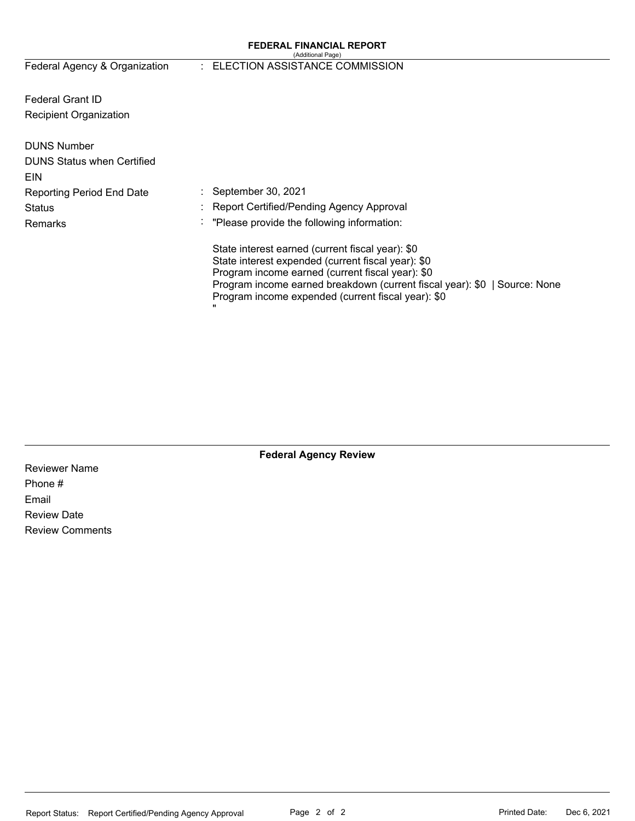#### **FEDERAL FINANCIAL REPORT**  (Additional Page)

Federal Agency & Organization

### : ELECTION ASSISTANCE COMMISSION

Federal Grant ID Recipient Organization

| <b>DUNS Number</b><br><b>DUNS Status when Certified</b><br>EIN |                                                                                                                                                                                                                                                                                                   |
|----------------------------------------------------------------|---------------------------------------------------------------------------------------------------------------------------------------------------------------------------------------------------------------------------------------------------------------------------------------------------|
| <b>Reporting Period End Date</b>                               | September 30, 2021                                                                                                                                                                                                                                                                                |
| Status                                                         | Report Certified/Pending Agency Approval                                                                                                                                                                                                                                                          |
| Remarks                                                        | $\therefore$ "Please provide the following information:                                                                                                                                                                                                                                           |
|                                                                | State interest earned (current fiscal year): \$0<br>State interest expended (current fiscal year): \$0<br>Program income earned (current fiscal year): \$0<br>Program income earned breakdown (current fiscal year): \$0   Source: None<br>Program income expended (current fiscal year): \$0<br> |

**Federal Agency Review** 

Reviewer Name Phone # Email Review Date Review Comments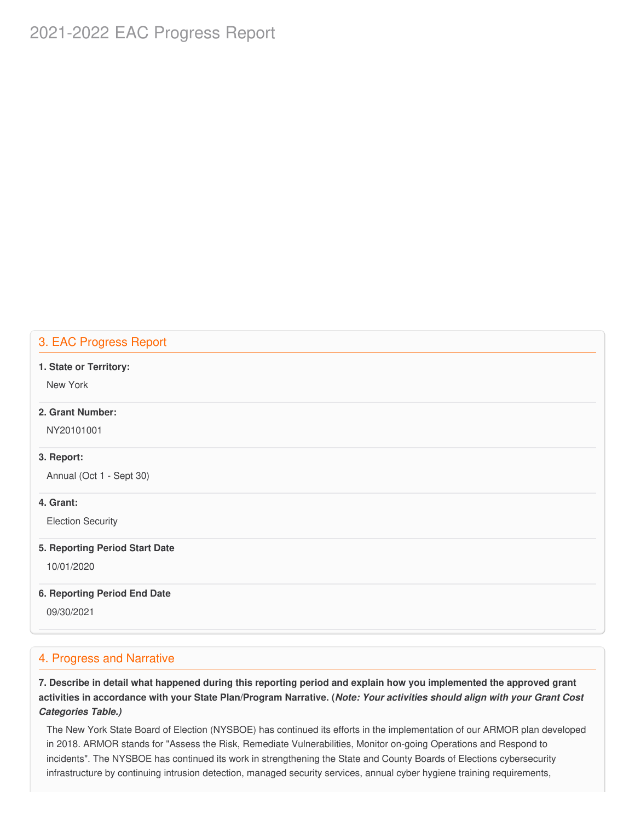# 2021-2022 EAC Progress Report

# 3. EAC Progress Report

#### **1. State or Territory:**

New York

# **2. Grant Number:**

NY20101001

### **3. Report:**

Annual (Oct 1 - Sept 30)

### **4. Grant:**

Election Security

#### **5. Reporting Period Start Date**

10/01/2020

### **6. Reporting Period End Date**

09/30/2021

# 4. Progress and Narrative

7. Describe in detail what happened during this reporting period and explain how you implemented the approved grant activities in accordance with your State Plan/Program Narrative. (*Note: Your activities should align with your Grant Cost Categories Table.)*

 The New York State Board of Election (NYSBOE) has continued its efforts in the implementation of our ARMOR plan developed in 2018. ARMOR stands for "Assess the Risk, Remediate Vulnerabilities, Monitor on-going Operations and Respond to incidents". The NYSBOE has continued its work in strengthening the State and County Boards of Elections cybersecurity infrastructure by continuing intrusion detection, managed security services, annual cyber hygiene training requirements,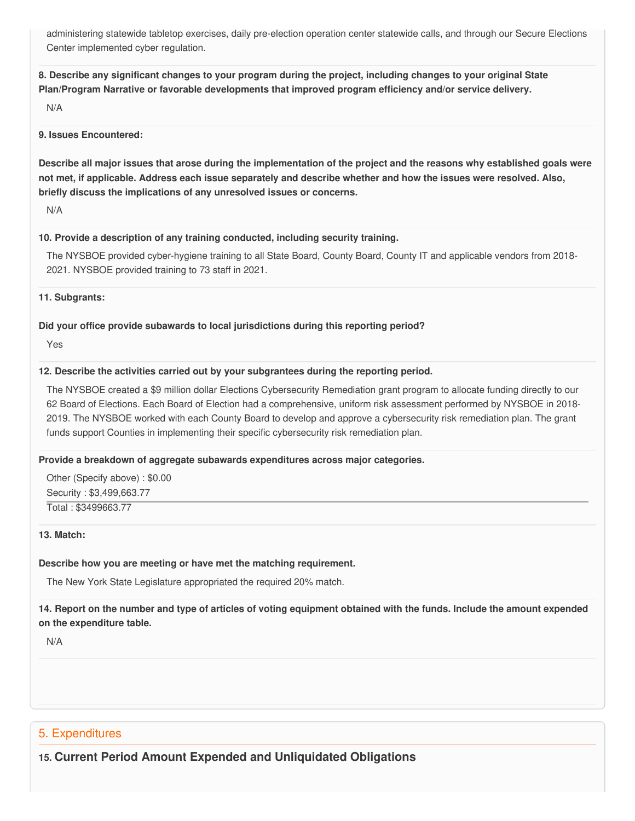administering statewide tabletop exercises, daily pre-election operation center statewide calls, and through our Secure Elections Center implemented cyber regulation.

8. Describe any significant changes to your program during the project, including changes to your original State  **Plan/Program Narrative or favorable developments that improved program efficiency and/or service delivery.**

N/A

#### **9. Issues Encountered:**

Describe all major issues that arose during the implementation of the project and the reasons why established goals were not met, if applicable. Address each issue separately and describe whether and how the issues were resolved. Also,  **briefly discuss the implications of any unresolved issues or concerns.**

N/A

#### **10. Provide a description of any training conducted, including security training.**

 The NYSBOE provided cyber-hygiene training to all State Board, County Board, County IT and applicable vendors from 2018- 2021. NYSBOE provided training to 73 staff in 2021.

**11. Subgrants:**

### **Did your office provide subawards to local jurisdictions during this reporting period?**

Yes

### **12. Describe the activities carried out by your subgrantees during the reporting period.**

 The NYSBOE created a \$9 million dollar Elections Cybersecurity Remediation grant program to allocate funding directly to our 62 Board of Elections. Each Board of Election had a comprehensive, uniform risk assessment performed by NYSBOE in 2018- 2019. The NYSBOE worked with each County Board to develop and approve a cybersecurity risk remediation plan. The grant funds support Counties in implementing their specific cybersecurity risk remediation plan.

### **Provide a breakdown of aggregate subawards expenditures across major categories.**

 Other (Specify above) : \$0.00 Security : \$[3,499,663.77](https://3,499,663.77) Total : [\\$3499663.77](https://3499663.77)

### **13. Match:**

### **Describe how you are meeting or have met the matching requirement.**

The New York State Legislature appropriated the required 20% match.

## 14. Report on the number and type of articles of voting equipment obtained with the funds. Include the amount expended  **on the expenditure table.**

N/A

# 5. Expenditures

# **15. Current Period Amount Expended and Unliquidated Obligations**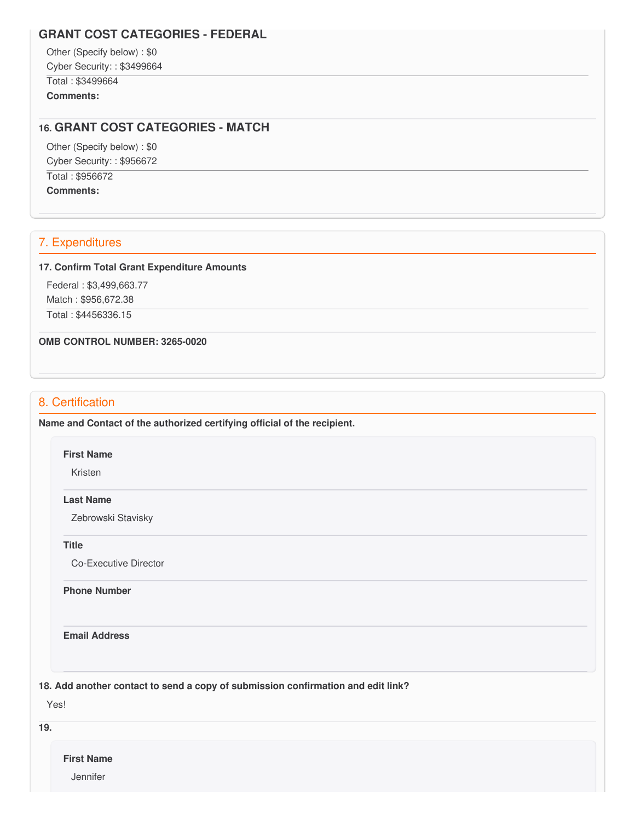# **GRANT COST CATEGORIES - FEDERAL**

 Other (Specify below) : \$0 Cyber Security: : \$3499664 Total : \$3499664

**Comments:**

### **16. GRANT COST CATEGORIES - MATCH**

 Other (Specify below) : \$0 Cyber Security: : \$956672 Total : \$956672 **Comments:**

# 7. Expenditures

#### **17. Confirm Total Grant Expenditure Amounts**

 Federal : \$[3,499,663.77](https://3,499,663.77) Match : \$[956,672.38](https://956,672.38)

Total : [\\$4456336.15](https://4456336.15)

#### **OMB CONTROL NUMBER: 3265-0020**

# 8. Certification

 **Name and Contact of the authorized certifying official of the recipient.**

**First Name**

Kristen

#### **Last Name**

Zebrowski Stavisky

**Title**

Co-Executive Director

**Phone Number** 

**Email Address**

 **18. Add another contact to send a copy of submission confirmation and edit link?**

Yes!

**19.**

**First Name**

**Jennifer**